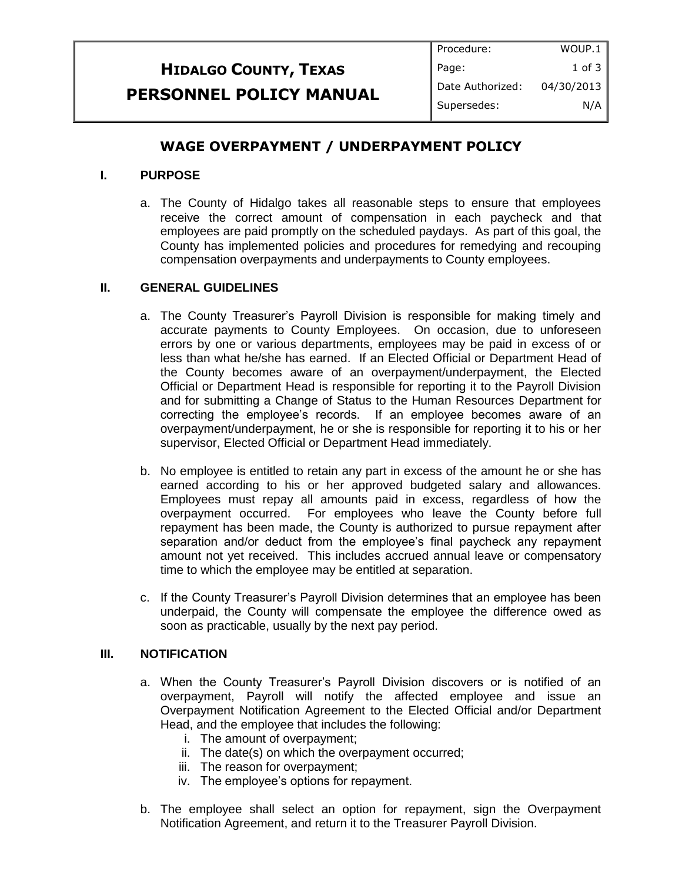#### **HIDALGO COUNTY, TEXAS PERSONNEL POLICY MANUAL** Procedure: Page: Date Authorized: Supersedes: WOUP.1 1 of 3 04/30/2013 N/A

# **WAGE OVERPAYMENT / UNDERPAYMENT POLICY**

# **I. PURPOSE**

a. The County of Hidalgo takes all reasonable steps to ensure that employees receive the correct amount of compensation in each paycheck and that employees are paid promptly on the scheduled paydays. As part of this goal, the County has implemented policies and procedures for remedying and recouping compensation overpayments and underpayments to County employees.

### **II. GENERAL GUIDELINES**

- a. The County Treasurer's Payroll Division is responsible for making timely and accurate payments to County Employees. On occasion, due to unforeseen errors by one or various departments, employees may be paid in excess of or less than what he/she has earned. If an Elected Official or Department Head of the County becomes aware of an overpayment/underpayment, the Elected Official or Department Head is responsible for reporting it to the Payroll Division and for submitting a Change of Status to the Human Resources Department for correcting the employee's records. If an employee becomes aware of an overpayment/underpayment, he or she is responsible for reporting it to his or her supervisor, Elected Official or Department Head immediately.
- b. No employee is entitled to retain any part in excess of the amount he or she has earned according to his or her approved budgeted salary and allowances. Employees must repay all amounts paid in excess, regardless of how the overpayment occurred. For employees who leave the County before full repayment has been made, the County is authorized to pursue repayment after separation and/or deduct from the employee's final paycheck any repayment amount not yet received. This includes accrued annual leave or compensatory time to which the employee may be entitled at separation.
- c. If the County Treasurer's Payroll Division determines that an employee has been underpaid, the County will compensate the employee the difference owed as soon as practicable, usually by the next pay period.

#### **III. NOTIFICATION**

- a. When the County Treasurer's Payroll Division discovers or is notified of an overpayment, Payroll will notify the affected employee and issue an Overpayment Notification Agreement to the Elected Official and/or Department Head, and the employee that includes the following:
	- i. The amount of overpayment;
	- ii. The date(s) on which the overpayment occurred;
	- iii. The reason for overpayment;
	- iv. The employee's options for repayment.
- b. The employee shall select an option for repayment, sign the Overpayment Notification Agreement, and return it to the Treasurer Payroll Division.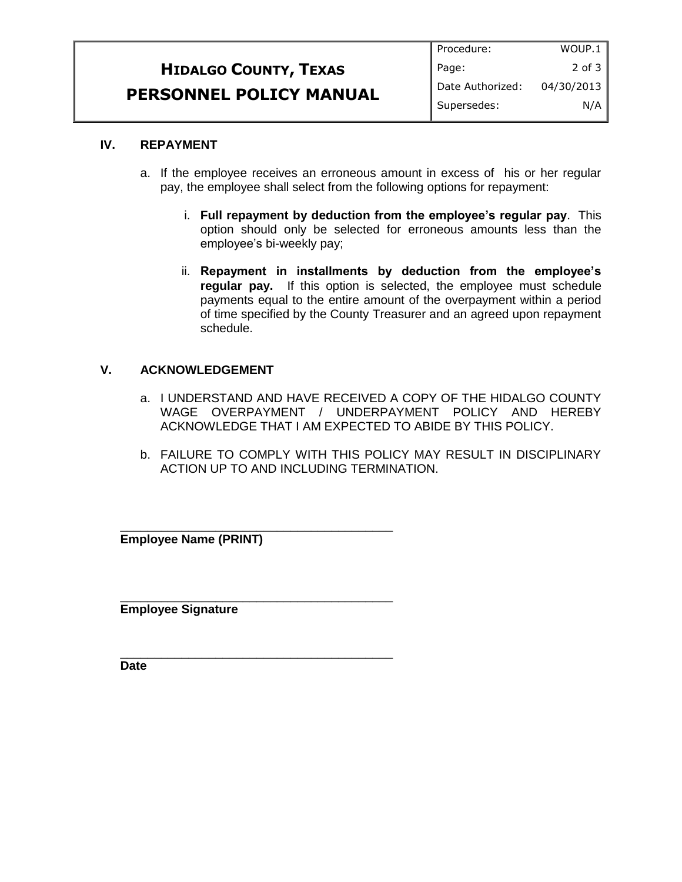|                                | Procedure:       | WOUP.1     |
|--------------------------------|------------------|------------|
| <b>HIDALGO COUNTY, TEXAS</b>   | Page:            | $2$ of $3$ |
| <b>PERSONNEL POLICY MANUAL</b> | Date Authorized: | 04/30/2013 |
|                                | Supersedes:      | N/A        |

# **IV. REPAYMENT**

- a. If the employee receives an erroneous amount in excess of his or her regular pay, the employee shall select from the following options for repayment:
	- i. **Full repayment by deduction from the employee's regular pay**. This option should only be selected for erroneous amounts less than the employee's bi-weekly pay;
	- ii. **Repayment in installments by deduction from the employee's regular pay.** If this option is selected, the employee must schedule payments equal to the entire amount of the overpayment within a period of time specified by the County Treasurer and an agreed upon repayment schedule.

# **V. ACKNOWLEDGEMENT**

- a. I UNDERSTAND AND HAVE RECEIVED A COPY OF THE HIDALGO COUNTY WAGE OVERPAYMENT / UNDERPAYMENT POLICY AND HEREBY ACKNOWLEDGE THAT I AM EXPECTED TO ABIDE BY THIS POLICY.
- b. FAILURE TO COMPLY WITH THIS POLICY MAY RESULT IN DISCIPLINARY ACTION UP TO AND INCLUDING TERMINATION.

**Employee Name (PRINT)**

\_\_\_\_\_\_\_\_\_\_\_\_\_\_\_\_\_\_\_\_\_\_\_\_\_\_\_\_\_\_\_\_\_\_\_\_\_\_\_\_

\_\_\_\_\_\_\_\_\_\_\_\_\_\_\_\_\_\_\_\_\_\_\_\_\_\_\_\_\_\_\_\_\_\_\_\_\_\_\_\_

\_\_\_\_\_\_\_\_\_\_\_\_\_\_\_\_\_\_\_\_\_\_\_\_\_\_\_\_\_\_\_\_\_\_\_\_\_\_\_\_

**Employee Signature**

**Date**